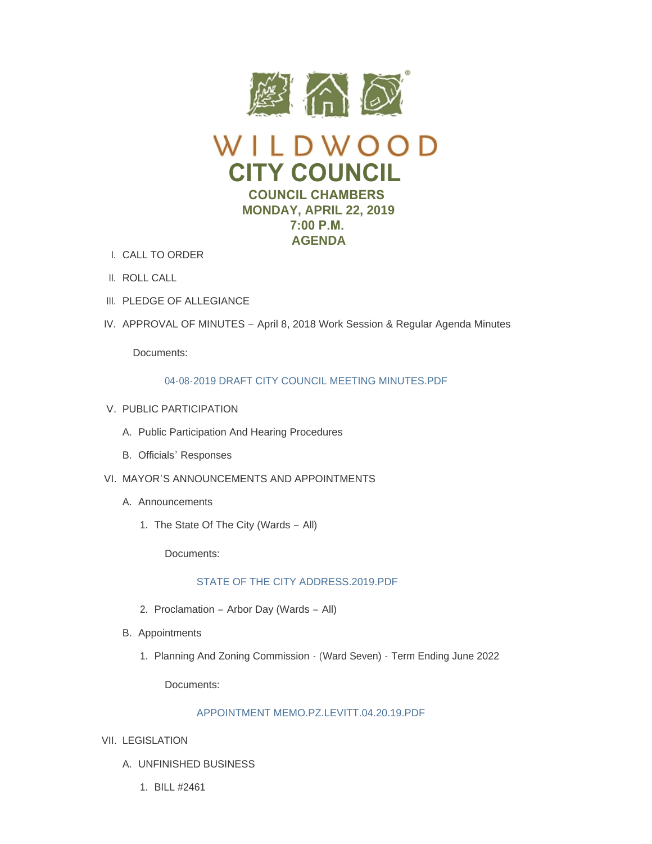



- CALL TO ORDER I.
- II. ROLL CALL
- III. PLEDGE OF ALLEGIANCE
- IV. APPROVAL OF MINUTES April 8, 2018 Work Session & Regular Agenda Minutes

Documents:

# [04-08-2019 DRAFT CITY COUNCIL MEETING MINUTES.PDF](https://www.cityofwildwood.com/AgendaCenter/ViewFile/Item/19935?fileID=25908)

- V. PUBLIC PARTICIPATION
	- A. Public Participation And Hearing Procedures
	- B. Officials' Responses
- VI. MAYOR'S ANNOUNCEMENTS AND APPOINTMENTS
	- A. Announcements
		- 1. The State Of The City (Wards All)

Documents:

# [STATE OF THE CITY ADDRESS.2019.PDF](https://www.cityofwildwood.com/AgendaCenter/ViewFile/Item/20060?fileID=25962)

- 2. Proclamation Arbor Day (Wards All)
- B. Appointments
	- 1. Planning And Zoning Commission (Ward Seven) Term Ending June 2022

Documents:

### [APPOINTMENT MEMO.PZ.LEVITT.04.20.19.PDF](https://www.cityofwildwood.com/AgendaCenter/ViewFile/Item/19944?fileID=25953)

- VII. LEGISLATION
	- UNFINISHED BUSINESS A.
		- BILL #2461 1.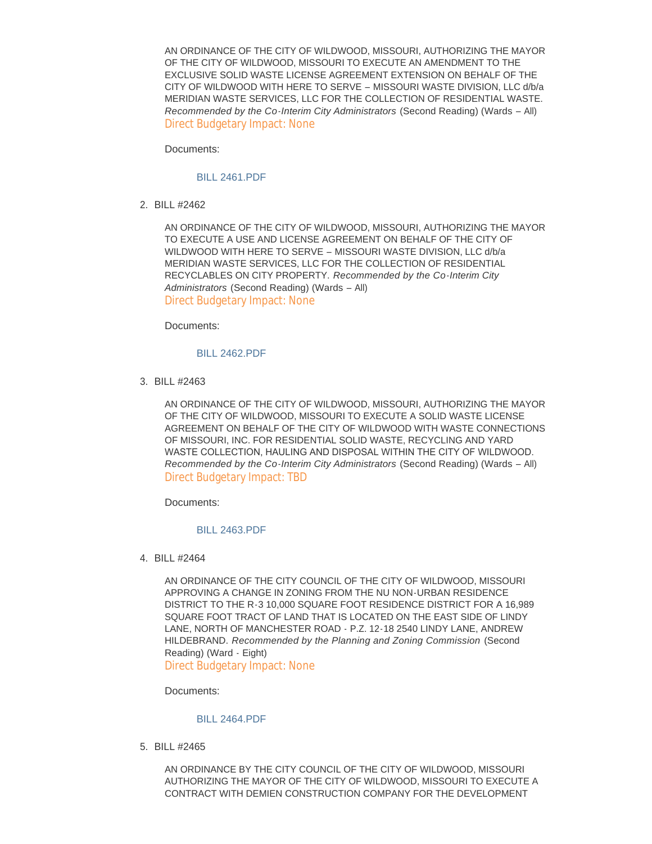AN ORDINANCE OF THE CITY OF WILDWOOD, MISSOURI, AUTHORIZING THE MAYOR OF THE CITY OF WILDWOOD, MISSOURI TO EXECUTE AN AMENDMENT TO THE EXCLUSIVE SOLID WASTE LICENSE AGREEMENT EXTENSION ON BEHALF OF THE CITY OF WILDWOOD WITH HERE TO SERVE – MISSOURI WASTE DIVISION, LLC d/b/a MERIDIAN WASTE SERVICES, LLC FOR THE COLLECTION OF RESIDENTIAL WASTE. *Recommended by the Co-Interim City Administrators* (Second Reading) (Wards – All) Direct Budgetary Impact: None

Documents:

#### [BILL 2461.PDF](https://www.cityofwildwood.com/AgendaCenter/ViewFile/Item/19947?fileID=25910)

BILL #2462 2.

AN ORDINANCE OF THE CITY OF WILDWOOD, MISSOURI, AUTHORIZING THE MAYOR TO EXECUTE A USE AND LICENSE AGREEMENT ON BEHALF OF THE CITY OF WILDWOOD WITH HERE TO SERVE – MISSOURI WASTE DIVISION, LLC d/b/a MERIDIAN WASTE SERVICES, LLC FOR THE COLLECTION OF RESIDENTIAL RECYCLABLES ON CITY PROPERTY. *Recommended by the Co-Interim City Administrators* (Second Reading) (Wards – All) Direct Budgetary Impact: None

Documents:

# [BILL 2462.PDF](https://www.cityofwildwood.com/AgendaCenter/ViewFile/Item/19948?fileID=25911)

BILL #2463 3.

AN ORDINANCE OF THE CITY OF WILDWOOD, MISSOURI, AUTHORIZING THE MAYOR OF THE CITY OF WILDWOOD, MISSOURI TO EXECUTE A SOLID WASTE LICENSE AGREEMENT ON BEHALF OF THE CITY OF WILDWOOD WITH WASTE CONNECTIONS OF MISSOURI, INC. FOR RESIDENTIAL SOLID WASTE, RECYCLING AND YARD WASTE COLLECTION, HAULING AND DISPOSAL WITHIN THE CITY OF WILDWOOD. *Recommended by the Co-Interim City Administrators* (Second Reading) (Wards – All) Direct Budgetary Impact: TBD

Documents:

### [BILL 2463.PDF](https://www.cityofwildwood.com/AgendaCenter/ViewFile/Item/19949?fileID=25912)

BILL #2464 4.

AN ORDINANCE OF THE CITY COUNCIL OF THE CITY OF WILDWOOD, MISSOURI APPROVING A CHANGE IN ZONING FROM THE NU NON-URBAN RESIDENCE DISTRICT TO THE R-3 10,000 SQUARE FOOT RESIDENCE DISTRICT FOR A 16,989 SQUARE FOOT TRACT OF LAND THAT IS LOCATED ON THE EAST SIDE OF LINDY LANE, NORTH OF MANCHESTER ROAD - P.Z. 12-18 2540 LINDY LANE, ANDREW HILDEBRAND. *Recommended by the Planning and Zoning Commission* (Second Reading) (Ward - Eight)

Direct Budgetary Impact: None

Documents:

### [BILL 2464.PDF](https://www.cityofwildwood.com/AgendaCenter/ViewFile/Item/19950?fileID=25913)

BILL #2465 5.

AN ORDINANCE BY THE CITY COUNCIL OF THE CITY OF WILDWOOD, MISSOURI AUTHORIZING THE MAYOR OF THE CITY OF WILDWOOD, MISSOURI TO EXECUTE A CONTRACT WITH DEMIEN CONSTRUCTION COMPANY FOR THE DEVELOPMENT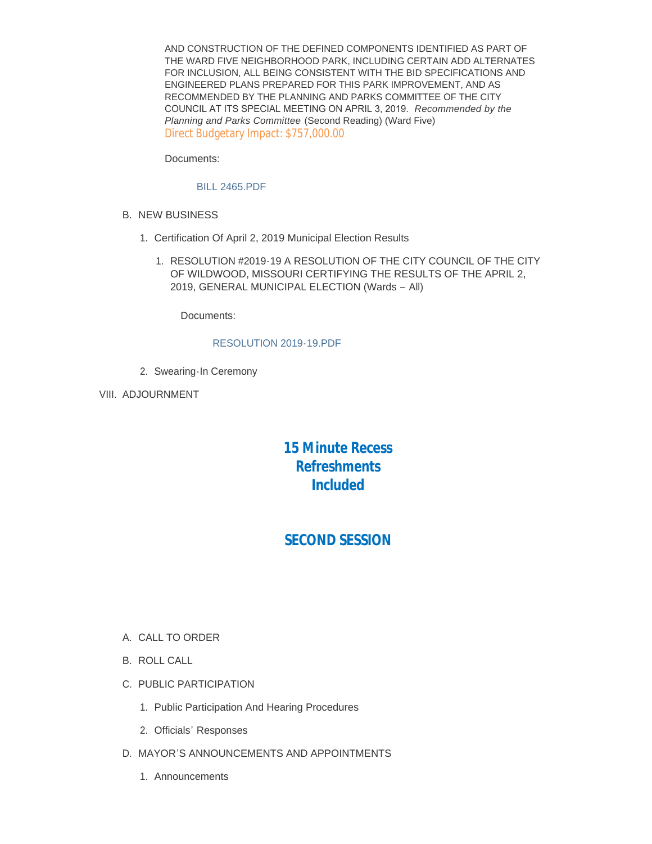AND CONSTRUCTION OF THE DEFINED COMPONENTS IDENTIFIED AS PART OF THE WARD FIVE NEIGHBORHOOD PARK, INCLUDING CERTAIN ADD ALTERNATES FOR INCLUSION, ALL BEING CONSISTENT WITH THE BID SPECIFICATIONS AND ENGINEERED PLANS PREPARED FOR THIS PARK IMPROVEMENT, AND AS RECOMMENDED BY THE PLANNING AND PARKS COMMITTEE OF THE CITY COUNCIL AT ITS SPECIAL MEETING ON APRIL 3, 2019. *Recommended by the Planning and Parks Committee* (Second Reading) (Ward Five) Direct Budgetary Impact: \$757,000.00

Documents:

### [BILL 2465.PDF](https://www.cityofwildwood.com/AgendaCenter/ViewFile/Item/19951?fileID=25914)

- **B. NEW BUSINESS** 
	- 1. Certification Of April 2, 2019 Municipal Election Results
		- 1. RESOLUTION #2019-19 A RESOLUTION OF THE CITY COUNCIL OF THE CITY OF WILDWOOD, MISSOURI CERTIFYING THE RESULTS OF THE APRIL 2, 2019, GENERAL MUNICIPAL ELECTION (Wards – All)

Documents:

### [RESOLUTION 2019-19.PDF](https://www.cityofwildwood.com/AgendaCenter/ViewFile/Item/19954?fileID=25951)

- 2. Swearing-In Ceremony
- VIII. ADJOURNMENT

# *15 Minute Recess Refreshments Included*

# *SECOND SESSION*

- A. CALL TO ORDER
- B. ROLL CALL
- C. PUBLIC PARTICIPATION
	- 1. Public Participation And Hearing Procedures
	- 2. Officials' Responses
- D. MAYOR'S ANNOUNCEMENTS AND APPOINTMENTS
	- Announcements 1.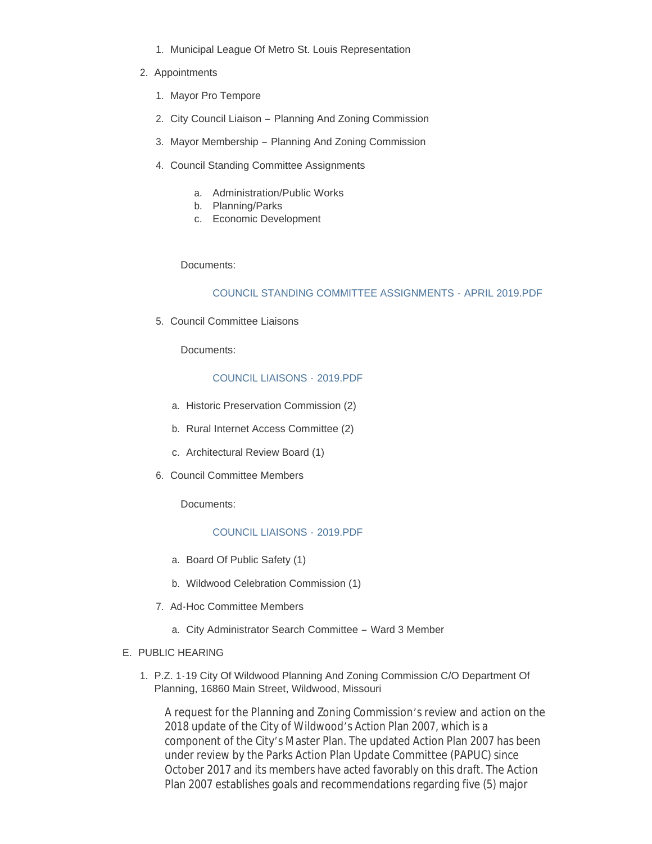- 1. Municipal League Of Metro St. Louis Representation
- 2. Appointments
	- 1. Mayor Pro Tempore
	- 2. City Council Liaison Planning And Zoning Commission
	- 3. Mayor Membership Planning And Zoning Commission
	- 4. Council Standing Committee Assignments
		- a. Administration/Public Works
		- b. Planning/Parks
		- c. Economic Development

Documents:

### [COUNCIL STANDING COMMITTEE ASSIGNMENTS -](https://www.cityofwildwood.com/AgendaCenter/ViewFile/Item/20059?fileID=25961) APRIL 2019.PDF

5. Council Committee Liaisons

Documents:

### [COUNCIL LIAISONS -](https://www.cityofwildwood.com/AgendaCenter/ViewFile/Item/19973?fileID=25957) 2019.PDF

- a. Historic Preservation Commission (2)
- b. Rural Internet Access Committee (2)
- c. Architectural Review Board (1)
- 6. Council Committee Members

Documents:

### [COUNCIL LIAISONS -](https://www.cityofwildwood.com/AgendaCenter/ViewFile/Item/19977?fileID=25958) 2019.PDF

- a. Board Of Public Safety (1)
- b. Wildwood Celebration Commission (1)
- 7. Ad-Hoc Committee Members
	- City Administrator Search Committee Ward 3 Member a.

### E. PUBLIC HEARING

1. P.Z. 1-19 City Of Wildwood Planning And Zoning Commission C/O Department Of Planning, 16860 Main Street, Wildwood, Missouri

A request for the Planning and Zoning Commission's review and action on the 2018 update of the City of Wildwood's Action Plan 2007, which is a component of the City's Master Plan. The updated Action Plan 2007 has been under review by the Parks Action Plan Update Committee (PAPUC) since October 2017 and its members have acted favorably on this draft. The Action Plan 2007 establishes goals and recommendations regarding five (5) major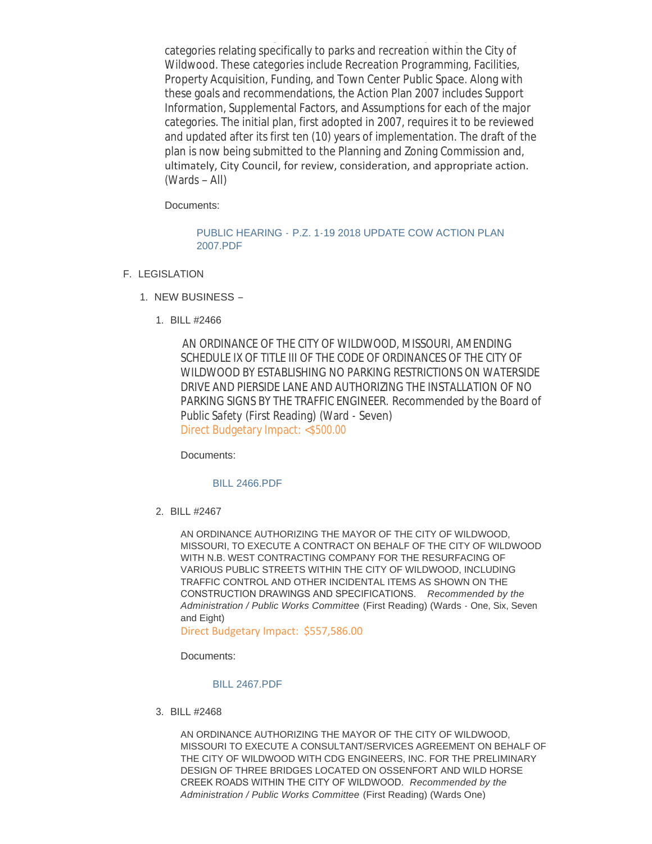Plan 2007 establishes goals and recommendations regarding five (5) major categories relating specifically to parks and recreation within the City of Wildwood. These categories include Recreation Programming, Facilities, Property Acquisition, Funding, and Town Center Public Space. Along with these goals and recommendations, the Action Plan 2007 includes Support Information, Supplemental Factors, and Assumptions for each of the major categories. The initial plan, first adopted in 2007, requires it to be reviewed and updated after its first ten (10) years of implementation. The draft of the plan is now being submitted to the Planning and Zoning Commission and, ultimately, City Council, for review, consideration, and appropriate action. (Wards – All)

Documents:

### PUBLIC HEARING - [P.Z. 1-19 2018 UPDATE COW ACTION PLAN](https://www.cityofwildwood.com/AgendaCenter/ViewFile/Item/19983?fileID=25915)  2007.PDF

- F. LEGISLATION
	- 1. NEW BUSINESS -
		- BILL #2466 1.

AN ORDINANCE OF THE CITY OF WILDWOOD, MISSOURI, AMENDING SCHEDULE IX OF TITLE III OF THE CODE OF ORDINANCES OF THE CITY OF WILDWOOD BY ESTABLISHING NO PARKING RESTRICTIONS ON WATERSIDE DRIVE AND PIERSIDE LANE AND AUTHORIZING THE INSTALLATION OF NO PARKING SIGNS BY THE TRAFFIC ENGINEER. *Recommended by the Board of Public Safety* (First Reading) (Ward - Seven) Direct Budgetary Impact: <\$500.00

Documents:

### [BILL 2466.PDF](https://www.cityofwildwood.com/AgendaCenter/ViewFile/Item/19986?fileID=25916)

BILL #2467 2.

AN ORDINANCE AUTHORIZING THE MAYOR OF THE CITY OF WILDWOOD, MISSOURI, TO EXECUTE A CONTRACT ON BEHALF OF THE CITY OF WILDWOOD WITH N.B. WEST CONTRACTING COMPANY FOR THE RESURFACING OF VARIOUS PUBLIC STREETS WITHIN THE CITY OF WILDWOOD, INCLUDING TRAFFIC CONTROL AND OTHER INCIDENTAL ITEMS AS SHOWN ON THE CONSTRUCTION DRAWINGS AND SPECIFICATIONS. *Recommended by the Administration / Public Works Committee* (First Reading) (Wards - One, Six, Seven and Eight)

Direct Budgetary Impact: \$557,586.00

Documents:

[BILL 2467.PDF](https://www.cityofwildwood.com/AgendaCenter/ViewFile/Item/19987?fileID=25917)

BILL #2468 3.

AN ORDINANCE AUTHORIZING THE MAYOR OF THE CITY OF WILDWOOD, MISSOURI TO EXECUTE A CONSULTANT/SERVICES AGREEMENT ON BEHALF OF THE CITY OF WILDWOOD WITH CDG ENGINEERS, INC. FOR THE PRELIMINARY DESIGN OF THREE BRIDGES LOCATED ON OSSENFORT AND WILD HORSE CREEK ROADS WITHIN THE CITY OF WILDWOOD. *Recommended by the Administration / Public Works Committee* (First Reading) (Wards One)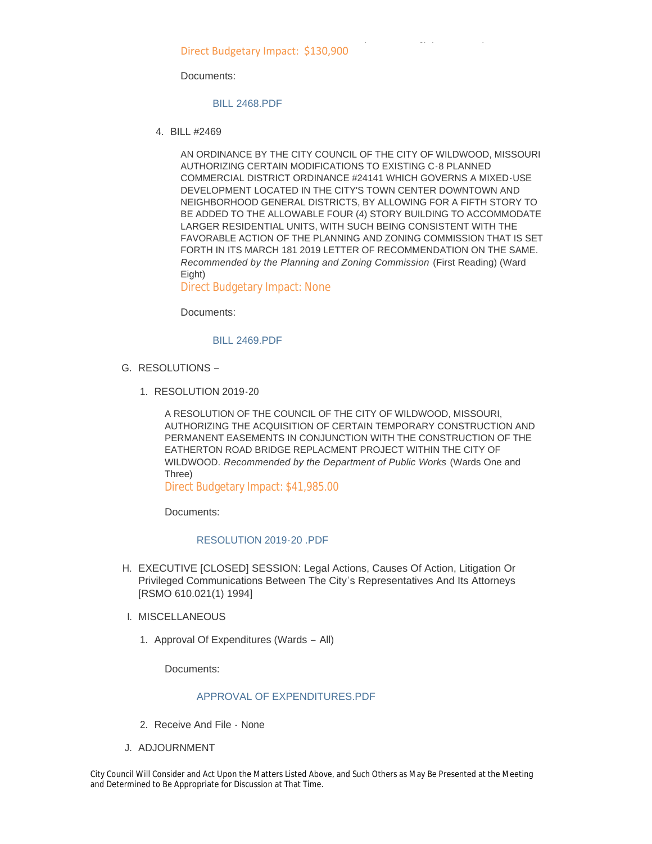Direct Budgetary Impact: \$130,900

Documents:

[BILL 2468.PDF](https://www.cityofwildwood.com/AgendaCenter/ViewFile/Item/19988?fileID=25918)

BILL #2469 4.

AN ORDINANCE BY THE CITY COUNCIL OF THE CITY OF WILDWOOD, MISSOURI AUTHORIZING CERTAIN MODIFICATIONS TO EXISTING C-8 PLANNED COMMERCIAL DISTRICT ORDINANCE #24141 WHICH GOVERNS A MIXED-USE DEVELOPMENT LOCATED IN THE CITY'S TOWN CENTER DOWNTOWN AND NEIGHBORHOOD GENERAL DISTRICTS, BY ALLOWING FOR A FIFTH STORY TO BE ADDED TO THE ALLOWABLE FOUR (4) STORY BUILDING TO ACCOMMODATE LARGER RESIDENTIAL UNITS, WITH SUCH BEING CONSISTENT WITH THE FAVORABLE ACTION OF THE PLANNING AND ZONING COMMISSION THAT IS SET FORTH IN ITS MARCH 181 2019 LETTER OF RECOMMENDATION ON THE SAME. *Recommended by the Planning and Zoning Commission* (First Reading) (Ward Eight)

*Administration / Public Works Committee* (First Reading) (Wards One)

Direct Budgetary Impact: None

Documents:

[BILL 2469.PDF](https://www.cityofwildwood.com/AgendaCenter/ViewFile/Item/19989?fileID=25919)

- G. RESOLUTIONS
	- 1. RESOLUTION 2019-20

A RESOLUTION OF THE COUNCIL OF THE CITY OF WILDWOOD, MISSOURI, AUTHORIZING THE ACQUISITION OF CERTAIN TEMPORARY CONSTRUCTION AND PERMANENT EASEMENTS IN CONJUNCTION WITH THE CONSTRUCTION OF THE EATHERTON ROAD BRIDGE REPLACMENT PROJECT WITHIN THE CITY OF WILDWOOD. *Recommended by the Department of Public Works* (Wards One and Three)

Direct Budgetary Impact: \$41,985.00

Documents:

### [RESOLUTION 2019-20 .PDF](https://www.cityofwildwood.com/AgendaCenter/ViewFile/Item/19991?fileID=25920)

- H. EXECUTIVE [CLOSED] SESSION: Legal Actions, Causes Of Action, Litigation Or Privileged Communications Between The City's Representatives And Its Attorneys [RSMO 610.021(1) 1994]
- I. MISCELLANEOUS
	- 1. Approval Of Expenditures (Wards All)

Documents:

### [APPROVAL OF EXPENDITURES.PDF](https://www.cityofwildwood.com/AgendaCenter/ViewFile/Item/19994?fileID=25921)

- 2. Receive And File None
- J. ADJOURNMENT

City Council Will Consider and Act Upon the Matters Listed Above, and Such Others as May Be Presented at the Meeting and Determined to Be Appropriate for Discussion at That Time.